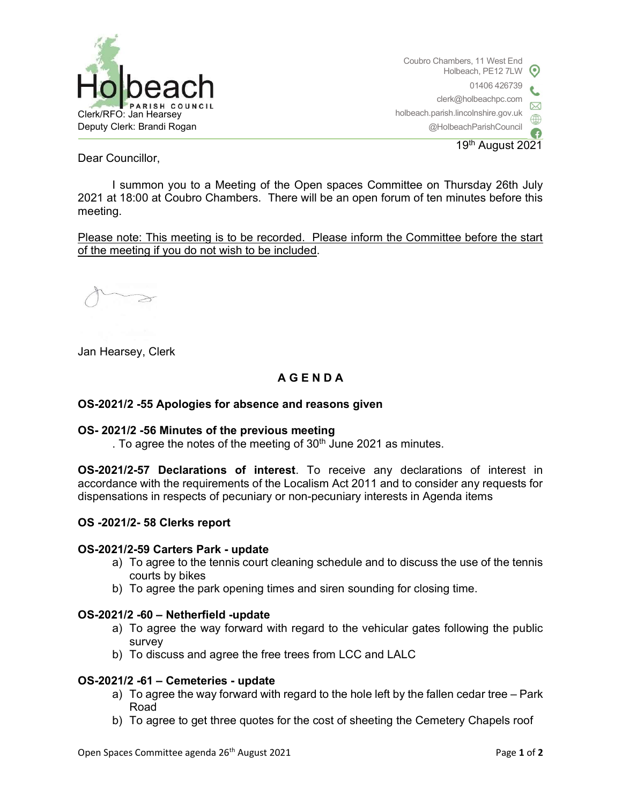

Coubro Chambers, 11 West End Holbeach, PE12 7LW 01406 426739 clerk@holbeachpc.com holbeach.parish.lincolnshire.gov.uk @HolbeachParishCouncil

19th August 2021

Dear Councillor,

I summon you to a Meeting of the Open spaces Committee on Thursday 26th July 2021 at 18:00 at Coubro Chambers. There will be an open forum of ten minutes before this meeting.

Please note: This meeting is to be recorded. Please inform the Committee before the start of the meeting if you do not wish to be included.

Jan Hearsey, Clerk

# A G E N D A

## OS-2021/2 -55 Apologies for absence and reasons given

### OS- 2021/2 -56 Minutes of the previous meeting

. To agree the notes of the meeting of  $30<sup>th</sup>$  June 2021 as minutes.

OS-2021/2-57 Declarations of interest. To receive any declarations of interest in accordance with the requirements of the Localism Act 2011 and to consider any requests for dispensations in respects of pecuniary or non-pecuniary interests in Agenda items

### OS -2021/2- 58 Clerks report

### OS-2021/2-59 Carters Park - update

- a) To agree to the tennis court cleaning schedule and to discuss the use of the tennis courts by bikes
- b) To agree the park opening times and siren sounding for closing time.

### OS-2021/2 -60 – Netherfield -update

- a) To agree the way forward with regard to the vehicular gates following the public survey
- b) To discuss and agree the free trees from LCC and LALC

### OS-2021/2 -61 – Cemeteries - update

- a) To agree the way forward with regard to the hole left by the fallen cedar tree Park Road
- b) To agree to get three quotes for the cost of sheeting the Cemetery Chapels roof